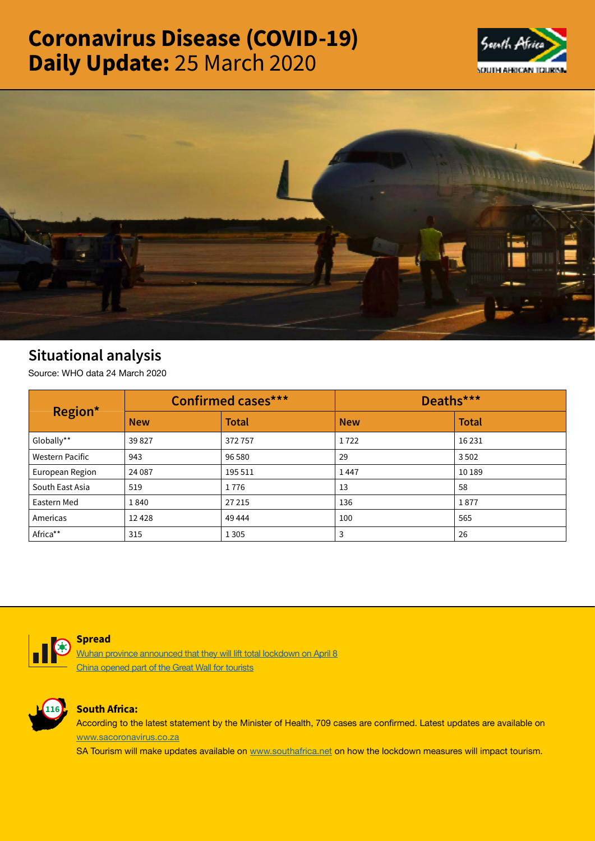# Coronavirus Disease (COVID-19) Daily Update: 25 March 2020





# Situational analysis

Source: WHO data 24 March 2020

| Region*                | <b>Confirmed cases***</b> |              | Deaths***  |              |
|------------------------|---------------------------|--------------|------------|--------------|
|                        | <b>New</b>                | <b>Total</b> | <b>New</b> | <b>Total</b> |
| Globally**             | 39827                     | 372757       | 1722       | 16 2 31      |
| <b>Western Pacific</b> | 943                       | 96 580       | 29         | 3502         |
| European Region        | 24 087                    | 195 511      | 1447       | 10 189       |
| South East Asia        | 519                       | 1776         | 13         | 58           |
| Eastern Med            | 1840                      | 27 215       | 136        | 1877         |
| Americas               | 12428                     | 49 4 44      | 100        | 565          |
| Africa**               | 315                       | 1 3 0 5      | 3          | 26           |



#### **Spread**

[Wuhan province announced that they will lift total lockdown on April 8](https://t.co/9NQnmbAOSp?amp=1) [China opened part of the Great Wall for tourists](https://t.co/Qyo4tDmut2?amp=1)



## South Africa:

According to the latest statement by the Minister of Health, 709 cases are confirmed. Latest updates are available on [www.sacoronavirus.co.za](http://www.sacoronavirus.co.za)

SA Tourism will make updates available on [www.southafrica.net](http://www.southafrica.net) on how the lockdown measures will impact tourism.